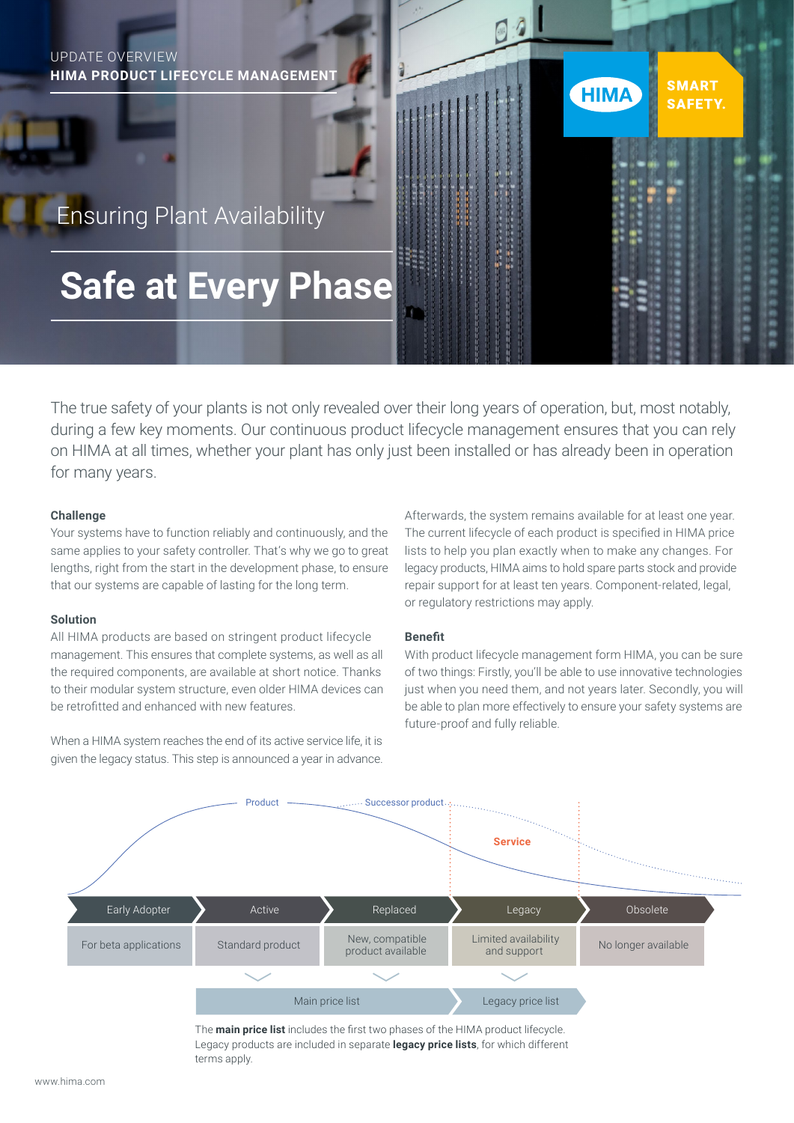# UPDATE OVERVIEW **HIMA PRODUCT LIFECYCLE MANAGEMENT SMART HIMA SAFETY.**  Ensuring Plant Availability  **Safe at Every Phase**

The true safety of your plants is not only revealed over their long years of operation, but, most notably, during a few key moments. Our continuous product lifecycle management ensures that you can rely on HIMA at all times, whether your plant has only just been installed or has already been in operation for many years.

#### **Challenge**

Your systems have to function reliably and continuously, and the same applies to your safety controller. That's why we go to great lengths, right from the start in the development phase, to ensure that our systems are capable of lasting for the long term.

#### **Solution**

All HIMA products are based on stringent product lifecycle management. This ensures that complete systems, as well as all the required components, are available at short notice. Thanks to their modular system structure, even older HIMA devices can be retrofitted and enhanced with new features.

When a HIMA system reaches the end of its active service life, it is given the legacy status. This step is announced a year in advance.

Afterwards, the system remains available for at least one year. The current lifecycle of each product is specified in HIMA price lists to help you plan exactly when to make any changes. For legacy products, HIMA aims to hold spare parts stock and provide repair support for at least ten years. Component-related, legal, or regulatory restrictions may apply.

### **Benefit**

With product lifecycle management form HIMA, you can be sure of two things: Firstly, you'll be able to use innovative technologies just when you need them, and not years later. Secondly, you will be able to plan more effectively to ensure your safety systems are future-proof and fully reliable.



The **main price list** includes the first two phases of the HIMA product lifecycle. Legacy products are included in separate **legacy price lists**, for which different terms apply.